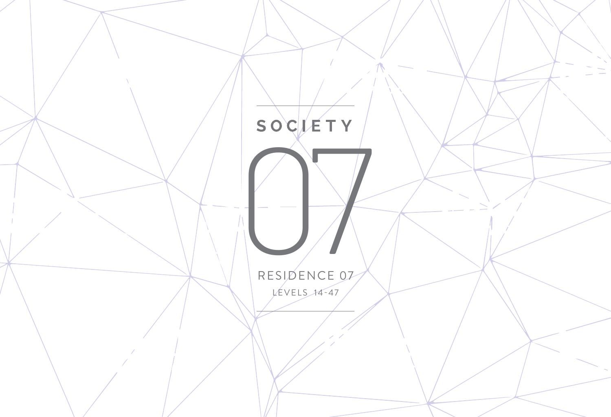